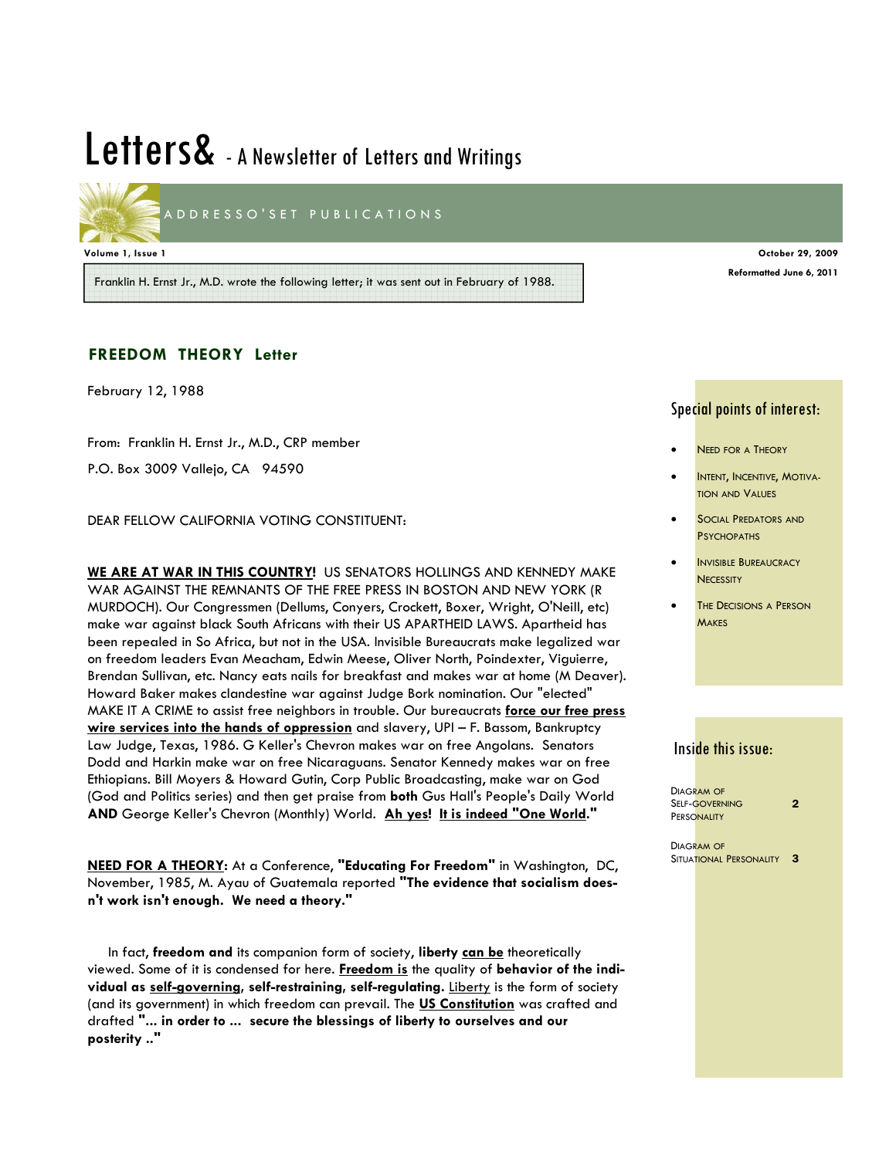# Letters& - A Newsletter of Letters and Writings



ADDRESSO'SET PUBLICATIONS

**Volume 1, Issue 1 October 29, 2009** 

Franklin H. Ernst Jr., M.D. wrote the following letter; it was sent out in February of 1988.

#### **FREEDOM THEORY Letter**

February 12, 1988

From: Franklin H. Ernst Jr., M.D., CRP member P.O. Box 3009 Vallejo, CA 94590

DEAR FELLOW CALIFORNIA VOTING CONSTITUENT:

**WE ARE AT WAR IN THIS COUNTRY!** US SENATORS HOLLINGS AND KENNEDY MAKE WAR AGAINST THE REMNANTS OF THE FREE PRESS IN BOSTON AND NEW YORK (R MURDOCH). Our Congressmen (Dellums, Conyers, Crockett, Boxer, Wright, O'Neill, etc) make war against black South Africans with their US APARTHEID LAWS. Apartheid has been repealed in So Africa, but not in the USA. Invisible Bureaucrats make legalized war on freedom leaders Evan Meacham, Edwin Meese, Oliver North, Poindexter, Viguierre, Brendan Sullivan, etc. Nancy eats nails for breakfast and makes war at home (M Deaver). Howard Baker makes clandestine war against Judge Bork nomination. Our "elected" MAKE IT A CRIME to assist free neighbors in trouble. Our bureaucrats **force our free press wire services into the hands of oppression** and slavery, UPI – F. Bassom, Bankruptcy Law Judge, Texas, 1986. G Keller's Chevron makes war on free Angolans. Senators Dodd and Harkin make war on free Nicaraguans. Senator Kennedy makes war on free Ethiopians. Bill Moyers & Howard Gutin, Corp Public Broadcasting, make war on God (God and Politics series) and then get praise from **both** Gus Hall's People's Daily World **AND** George Keller's Chevron (Monthly) World. **Ah yes! It is indeed "One World."**

**NEED FOR A THEORY:** At a Conference, **"Educating For Freedom"** in Washington, DC, November, 1985, M. Ayau of Guatemala reported **"The evidence that socialism doesn't work isn't enough. We need a theory."** 

 In fact, **freedom and** its companion form of society, **liberty can be** theoretically viewed. Some of it is condensed for here. **Freedom is** the quality of **behavior of the individual as self-governing, self-restraining, self-regulating.** Liberty is the form of society (and its government) in which freedom can prevail. The **US Constitution** was crafted and drafted **"... in order to ... secure the blessings of liberty to ourselves and our posterity .."** 

#### Special points of interest:

**Reformatted June 6, 2011** 

- **NEED FOR A THEORY**
- INTENT, INCENTIVE, MOTIVA-TION AND VALUES
- SOCIAL PREDATORS AND **PSYCHOPATHS**
- **INVISIBLE BUREAUCRACY NECESSITY**
- **THE DECISIONS A PERSON MAKES**

## Inside this issue:

DIAGRAM OF SELF-GOVERNING **PERSONALITY**  $\overline{2}$ 

DIAGRAM OF SITUATIONAL PERSONALITY 3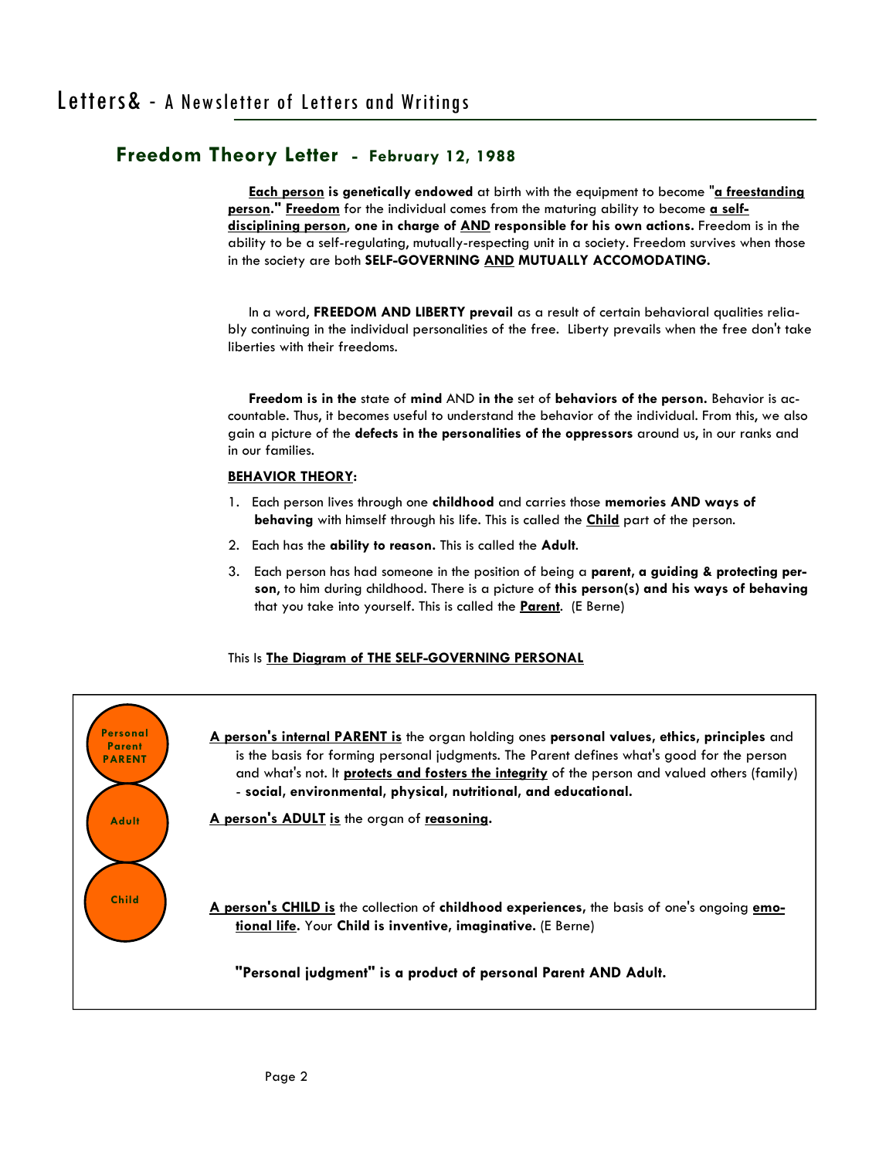**Each person is genetically endowed** at birth with the equipment to become "**a freestanding person." Freedom** for the individual comes from the maturing ability to become **a selfdisciplining person, one in charge of AND responsible for his own actions.** Freedom is in the ability to be a self-regulating, mutually-respecting unit in a society. Freedom survives when those in the society are both **SELF-GOVERNING AND MUTUALLY ACCOMODATING.** 

 In a word, **FREEDOM AND LIBERTY prevail** as a result of certain behavioral qualities reliably continuing in the individual personalities of the free. Liberty prevails when the free don't take liberties with their freedoms.

 **Freedom is in the** state of **mind** AND **in the** set of **behaviors of the person.** Behavior is accountable. Thus, it becomes useful to understand the behavior of the individual. From this, we also gain a picture of the **defects in the personalities of the oppressors** around us, in our ranks and in our families.

#### **BEHAVIOR THEORY:**

- 1. Each person lives through one **childhood** and carries those **memories AND ways of behaving** with himself through his life. This is called the **Child** part of the person.
- 2. Each has the **ability to reason.** This is called the **Adult**.
- 3. Each person has had someone in the position of being a **parent, a guiding & protecting person**, to him during childhood. There is a picture of **this person(s) and his ways of behaving** that you take into yourself. This is called the **Parent**. (E Berne)

#### This Is **The Diagram of THE SELF-GOVERNING PERSONAL**

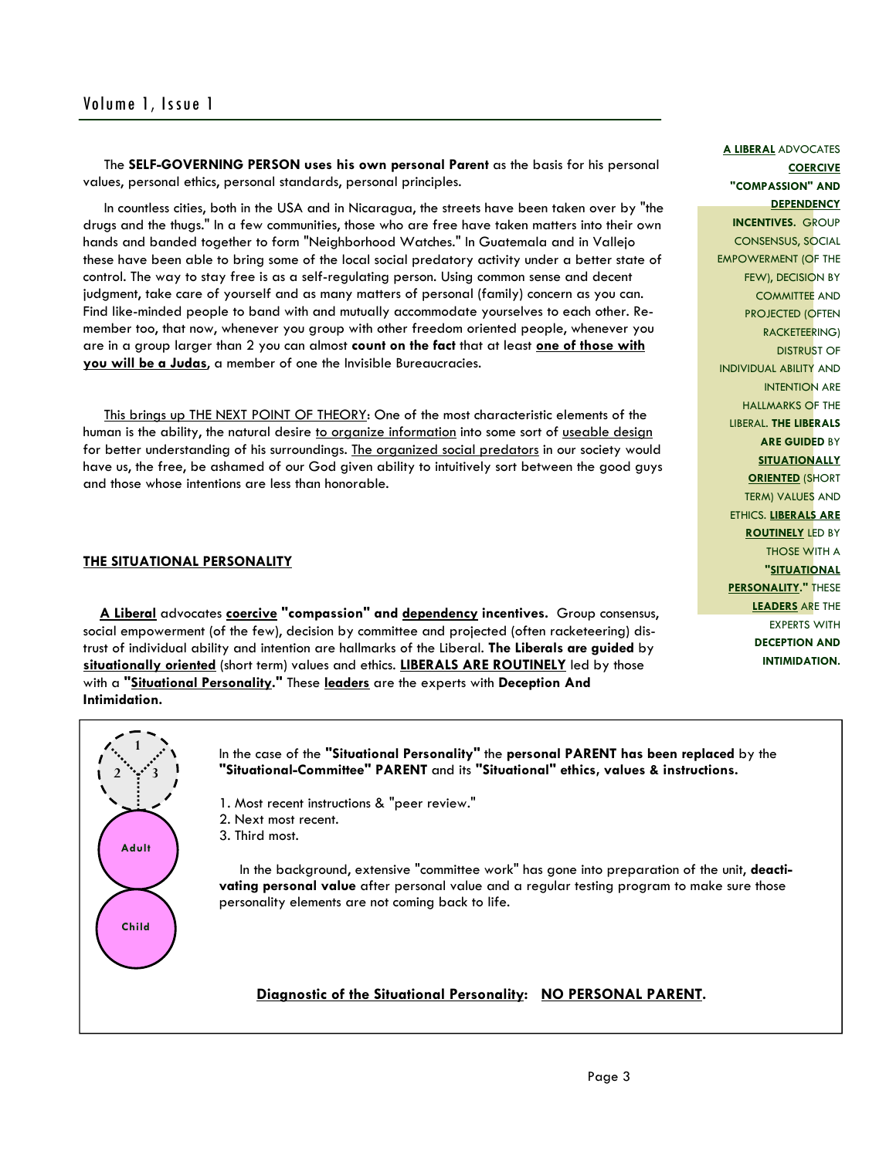The **SELF-GOVERNING PERSON uses his own personal Parent** as the basis for his personal values, personal ethics, personal standards, personal principles.

 In countless cities, both in the USA and in Nicaragua, the streets have been taken over by "the drugs and the thugs." In a few communities, those who are free have taken matters into their own hands and banded together to form "Neighborhood Watches." In Guatemala and in Vallejo these have been able to bring some of the local social predatory activity under a better state of control. The way to stay free is as a self-regulating person. Using common sense and decent judgment, take care of yourself and as many matters of personal (family) concern as you can. Find like-minded people to band with and mutually accommodate yourselves to each other. Remember too, that now, whenever you group with other freedom oriented people, whenever you are in a group larger than 2 you can almost **count on the fact** that at least **one of those with you will be a Judas**, a member of one the Invisible Bureaucracies.

 This brings up THE NEXT POINT OF THEORY: One of the most characteristic elements of the human is the ability, the natural desire to organize information into some sort of useable design for better understanding of his surroundings. The organized social predators in our society would have us, the free, be ashamed of our God given ability to intuitively sort between the good guys and those whose intentions are less than honorable.

#### **THE SITUATIONAL PERSONALITY**

 **A Liberal** advocates **coercive "compassion" and dependency incentives.** Group consensus, social empowerment (of the few), decision by committee and projected (often racketeering) distrust of individual ability and intention are hallmarks of the Liberal. **The Liberals are guided** by **situationally oriented** (short term) values and ethics. **LIBERALS ARE ROUTINELY** led by those with a **"Situational Personality."** These **leaders** are the experts with **Deception And Intimidation.**

**DEPENDENCY INCENTIVES.** GROUP CONSENSUS, SOCIAL EMPOWERMENT (OF THE FEW), DECISION BY COMMITTEE AND PROJECTED (OFTEN RACKETEERING) DISTRUST OF INDIVIDUAL ABILITY AND INTENTION ARE HALLMARKS OF THE LIBERAL. **THE LIBERALS ARE GUIDED** BY **SITUATIONALLY ORIENTED** (SHORT TERM) VALUES AND ETHICS. **LIBERALS ARE ROUTINELY LED BY** THOSE WITH A **"SITUATIONAL PERSONALITY."** THESE **LEADERS** ARE THE EXPERTS WITH **DECEPTION AND INTIMIDATION.**



In the case of the **"Situational Personality"** the **personal PARENT has been replaced** by the **"Situational-Committee" PARENT** and its **"Situational" ethics, values & instructions.** 

- 1. Most recent instructions & "peer review."
- 2. Next most recent.
- 3. Third most.

 In the background, extensive "committee work" has gone into preparation of the unit, **deactivating personal value** after personal value and a regular testing program to make sure those personality elements are not coming back to life.

#### **Diagnostic of the Situational Personality: NO PERSONAL PARENT.**

#### **A LIBERAL** ADVOCATES

**COERCIVE "COMPASSION" AND**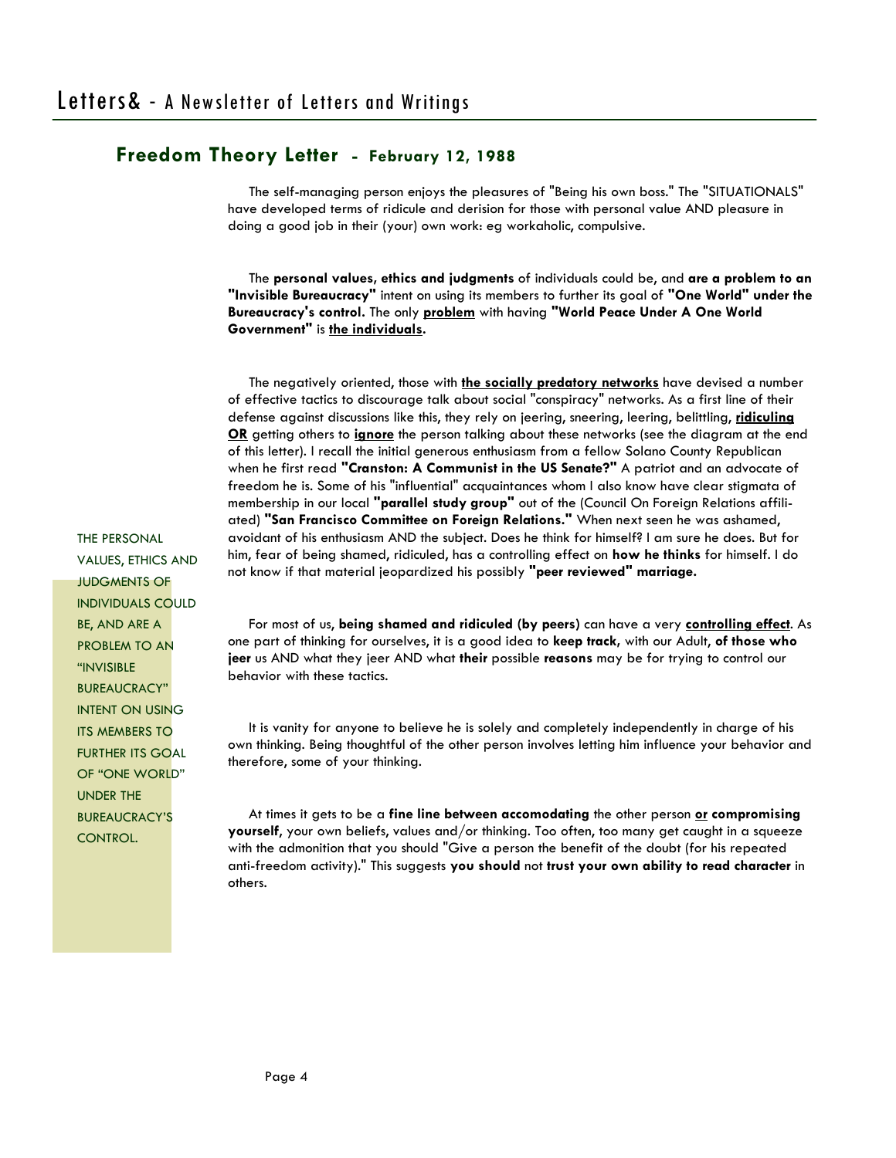The self-managing person enjoys the pleasures of "Being his own boss." The "SITUATIONALS" have developed terms of ridicule and derision for those with personal value AND pleasure in doing a good job in their (your) own work: eg workaholic, compulsive.

 The **personal values, ethics and judgments** of individuals could be, and **are a problem to an "Invisible Bureaucracy"** intent on using its members to further its goal of **"One World" under the Bureaucracy's control.** The only **problem** with having **"World Peace Under A One World Government"** is **the individuals.**

 The negatively oriented, those with **the socially predatory networks** have devised a number of effective tactics to discourage talk about social "conspiracy" networks. As a first line of their defense against discussions like this, they rely on jeering, sneering, leering, belittling, **ridiculing OR** getting others to **ignore** the person talking about these networks (see the diagram at the end of this letter). I recall the initial generous enthusiasm from a fellow Solano County Republican when he first read **"Cranston: A Communist in the US Senate?"** A patriot and an advocate of freedom he is. Some of his "influential" acquaintances whom I also know have clear stigmata of membership in our local **"parallel study group"** out of the (Council On Foreign Relations affiliated) **"San Francisco Committee on Foreign Relations."** When next seen he was ashamed, avoidant of his enthusiasm AND the subject. Does he think for himself? I am sure he does. But for him, fear of being shamed, ridiculed, has a controlling effect on **how he thinks** for himself. I do not know if that material jeopardized his possibly **"peer reviewed" marriage.** 

 For most of us, **being shamed and ridiculed (by peers)** can have a very **controlling effect**. As one part of thinking for ourselves, it is a good idea to **keep track,** with our Adult, **of those who jeer** us AND what they jeer AND what **their** possible **reasons** may be for trying to control our behavior with these tactics.

 It is vanity for anyone to believe he is solely and completely independently in charge of his own thinking. Being thoughtful of the other person involves letting him influence your behavior and therefore, some of your thinking.

 At times it gets to be a **fine line between accomodating** the other person **or compromising yourself**, your own beliefs, values and/or thinking. Too often, too many get caught in a squeeze with the admonition that you should "Give a person the benefit of the doubt (for his repeated anti-freedom activity)." This suggests **you should** not **trust your own ability to read character** in others.

THE PERSONAL VALUES, ETHICS AND JUDGMENTS OF INDIVIDUALS COULD BE, AND ARE A PROBLEM TO AN "INVISIBLE BUREAUCRACY" INTENT ON USING ITS MEMBERS TO FURTHER ITS GOAL OF "ONE WORLD" UNDER THE BUREAUCRACY'S CONTROL.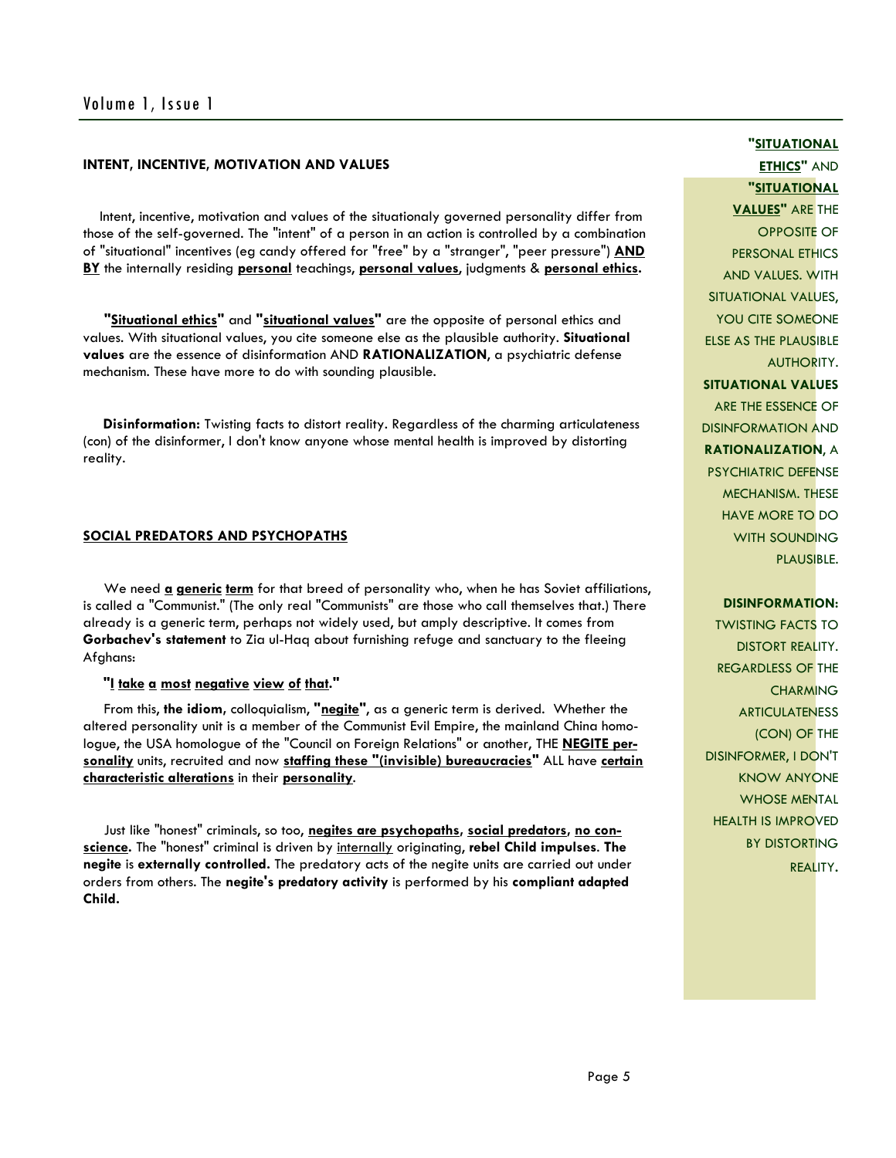#### **INTENT, INCENTIVE, MOTIVATION AND VALUES**

 Intent, incentive, motivation and values of the situationaly governed personality differ from those of the self-governed. The "intent" of a person in an action is controlled by a combination of "situational" incentives (eg candy offered for "free" by a "stranger", "peer pressure") **AND BY** the internally residing **personal** teachings, **personal values**, judgments & **personal ethics.** 

 **"Situational ethics"** and **"situational values"** are the opposite of personal ethics and values. With situational values, you cite someone else as the plausible authority. **Situational values** are the essence of disinformation AND **RATIONALIZATION**, a psychiatric defense mechanism. These have more to do with sounding plausible.

 **Disinformation:** Twisting facts to distort reality. Regardless of the charming articulateness (con) of the disinformer, I don't know anyone whose mental health is improved by distorting reality.

#### **SOCIAL PREDATORS AND PSYCHOPATHS**

We need **a generic term** for that breed of personality who, when he has Soviet affiliations, is called a "Communist." (The only real "Communists" are those who call themselves that.) There already is a generic term, perhaps not widely used, but amply descriptive. It comes from **Gorbachev's statement** to Zia ul-Haq about furnishing refuge and sanctuary to the fleeing Afghans:

 **"I take a most negative view of that."**

 From this, **the idiom,** colloquialism, **"negite"**, as a generic term is derived. Whether the altered personality unit is a member of the Communist Evil Empire, the mainland China homologue, the USA homologue of the "Council on Foreign Relations" or another, THE **NEGITE personality** units, recruited and now **staffing these "(invisible) bureaucracies"** ALL have **certain characteristic alterations** in their **personality**.

 Just like "honest" criminals, so too, **negites are psychopaths, social predators, no conscience.** The "honest" criminal is driven by internally originating, **rebel Child impulses**. **The negite** is **externally controlled.** The predatory acts of the negite units are carried out under orders from others. The **negite's predatory activity** is performed by his **compliant adapted Child.** 

# **"SITUATIONAL ETHICS"** AND

**"SITUATIONAL VALUES"** ARE THE

OPPOSITE OF PERSONAL ETHICS AND VALUES. WITH SITUATIONAL VALUES, YOU CITE SOMEONE ELSE AS THE PLAUSIBLE AUTHORITY. **SITUATIONAL VALUES** ARE THE ESSENCE OF DISINFORMATION AND **RATIONALIZATION**, A PSYCHIATRIC DEFENSE

MECHANISM. THESE HAVE MORE TO DO WITH SOUNDING PLAUSIBLE.

#### **DISINFORMATION:**

TWISTING FACTS TO DISTORT REALITY. REGARDLESS OF THE **CHARMING** ARTICULATENESS (CON) OF THE DISINFORMER, I DON'T KNOW ANYONE WHOSE MENTAL HEALTH IS IMPROVED BY DISTORTING REALITY.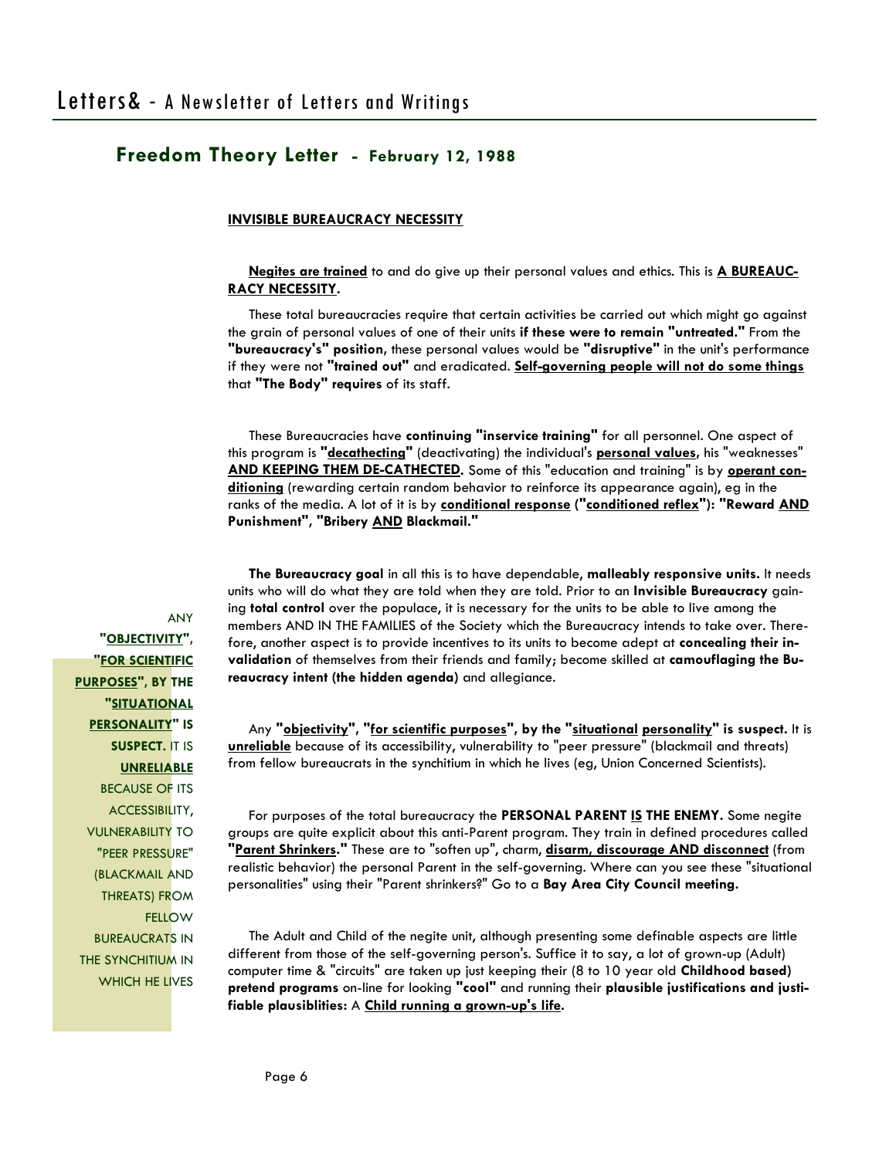#### **INVISIBLE BUREAUCRACY NECESSITY**

 **Negites are trained** to and do give up their personal values and ethics. This is **A BUREAUC-RACY NECESSITY.**

 These total bureaucracies require that certain activities be carried out which might go against the grain of personal values of one of their units **if these were to remain "untreated."** From the **"bureaucracy's" position,** these personal values would be **"disruptive"** in the unit's performance if they were not **"trained out"** and eradicated. **Self-governing people will not do some things** that **"The Body" requires** of its staff.

 These Bureaucracies have **continuing "inservice training"** for all personnel. One aspect of this program is **"decathecting"** (deactivating) the individual's **personal values,** his "weaknesses" **AND KEEPING THEM DE-CATHECTED.** Some of this "education and training" is by **operant conditioning** (rewarding certain random behavior to reinforce its appearance again), eg in the ranks of the media. A lot of it is by **conditional response ("conditioned reflex"): "Reward AND Punishment", "Bribery AND Blackmail."** 

 **The Bureaucracy goal** in all this is to have dependable, **malleably responsive units.** It needs units who will do what they are told when they are told. Prior to an **Invisible Bureaucracy** gaining **total control** over the populace, it is necessary for the units to be able to live among the members AND IN THE FAMILIES of the Society which the Bureaucracy intends to take over. Therefore, another aspect is to provide incentives to its units to become adept at **concealing their invalidation** of themselves from their friends and family; become skilled at **camouflaging the Bureaucracy intent (the hidden agenda)** and allegiance.

 Any **"objectivity", "for scientific purposes", by the "situational personality" is suspect.** It is **unreliable** because of its accessibility, vulnerability to "peer pressure" (blackmail and threats) from fellow bureaucrats in the synchitium in which he lives (eg, Union Concerned Scientists).

 For purposes of the total bureaucracy the **PERSONAL PARENT IS THE ENEMY.** Some negite groups are quite explicit about this anti-Parent program. They train in defined procedures called **"Parent Shrinkers."** These are to "soften up", charm, **disarm, discourage AND disconnect** (from realistic behavior) the personal Parent in the self-governing. Where can you see these "situational personalities" using their "Parent shrinkers?" Go to a **Bay Area City Council meeting.**

 The Adult and Child of the negite unit, although presenting some definable aspects are little different from those of the self-governing person's. Suffice it to say, a lot of grown-up (Adult) computer time & "circuits" are taken up just keeping their (8 to 10 year old **Childhood based) pretend programs** on-line for looking **"cool"** and running their **plausible justifications and justifiable plausiblities:** A **Child running a grown-up's life.** 

ANY **"OBJECTIVITY", "FOR SCIENTIFIC PURPOSES", BY THE "SITUATIONAL PERSONALITY" IS SUSPECT.** IT IS **UNRELIABLE** BECAUSE OF ITS ACCESSIBILITY, VULNERABILITY TO "PEER PRESSURE" (BLACKMAIL AND THREATS) FROM **FELLOW** BUREAUCRATS IN THE SYNCHITIUM IN WHICH HE LIVES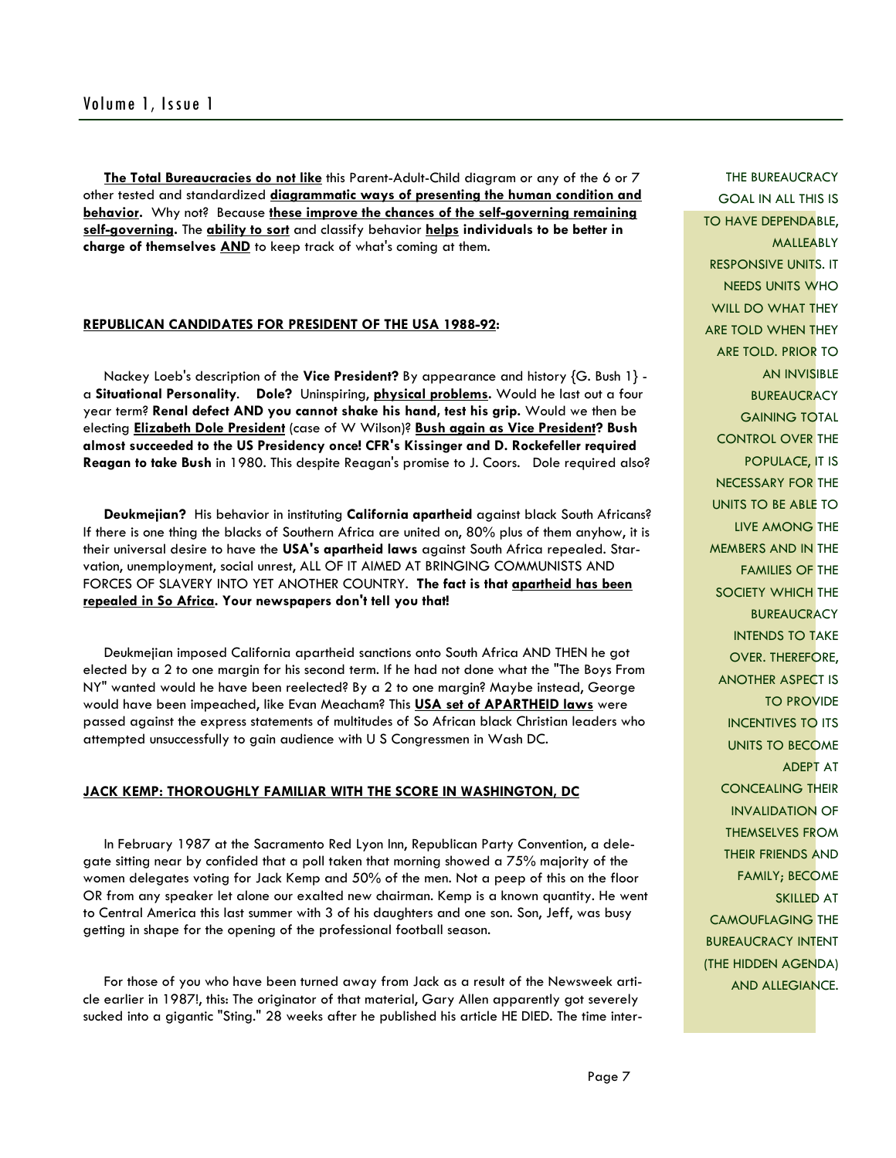**The Total Bureaucracies do not like** this Parent-Adult-Child diagram or any of the 6 or 7 other tested and standardized **diagrammatic ways of presenting the human condition and behavior.** Why not? Because these improve the chances of the self-governing remaining **self-governing.** The **ability to sort** and classify behavior **helps individuals to be better in charge of themselves AND** to keep track of what's coming at them.

#### **REPUBLICAN CANDIDATES FOR PRESIDENT OF THE USA 1988-92:**

 Nackey Loeb's description of the **Vice President?** By appearance and history {G. Bush 1} a **Situational Personality**. **Dole?** Uninspiring, **physical problems.** Would he last out a four year term? **Renal defect AND you cannot shake his hand, test his grip.** Would we then be electing **Elizabeth Dole President** (case of W Wilson)? **Bush again as Vice President? Bush almost succeeded to the US Presidency once! CFR's Kissinger and D. Rockefeller required Reagan to take Bush** in 1980. This despite Reagan's promise to J. Coors. Dole required also?

 **Deukmejian?** His behavior in instituting **California apartheid** against black South Africans? If there is one thing the blacks of Southern Africa are united on, 80% plus of them anyhow, it is their universal desire to have the **USA's apartheid laws** against South Africa repealed. Starvation, unemployment, social unrest, ALL OF IT AIMED AT BRINGING COMMUNISTS AND FORCES OF SLAVERY INTO YET ANOTHER COUNTRY. **The fact is that apartheid has been repealed in So Africa. Your newspapers don't tell you that!** 

 Deukmejian imposed California apartheid sanctions onto South Africa AND THEN he got elected by a 2 to one margin for his second term. If he had not done what the "The Boys From NY" wanted would he have been reelected? By a 2 to one margin? Maybe instead, George would have been impeached, like Evan Meacham? This **USA set of APARTHEID laws** were passed against the express statements of multitudes of So African black Christian leaders who attempted unsuccessfully to gain audience with U S Congressmen in Wash DC.

#### **JACK KEMP: THOROUGHLY FAMILIAR WITH THE SCORE IN WASHINGTON, DC**

 In February 1987 at the Sacramento Red Lyon Inn, Republican Party Convention, a delegate sitting near by confided that a poll taken that morning showed a 75% majority of the women delegates voting for Jack Kemp and 50% of the men. Not a peep of this on the floor OR from any speaker let alone our exalted new chairman. Kemp is a known quantity. He went to Central America this last summer with 3 of his daughters and one son. Son, Jeff, was busy getting in shape for the opening of the professional football season.

 For those of you who have been turned away from Jack as a result of the Newsweek article earlier in 1987!, this: The originator of that material, Gary Allen apparently got severely sucked into a gigantic "Sting." 28 weeks after he published his article HE DIED. The time inter-

THE BUREAUCRACY GOAL IN ALL THIS IS TO HAVE DEPENDABLE, MALLEABLY RESPONSIVE UNITS. IT NEEDS UNITS WHO WILL DO WHAT THEY ARE TOLD WHEN THEY ARE TOLD. PRIOR TO AN INVISIBLE **BUREAUCRACY** GAINING TOTAL CONTROL OVER THE POPULACE, IT IS NECESSARY FOR THE UNITS TO BE ABLE TO LIVE AMONG THE MEMBERS AND IN THE FAMILIES OF THE SOCIETY WHICH THE **BUREAUCRACY** INTENDS TO TAKE OVER. THEREFORE, ANOTHER ASPECT IS TO PROVIDE INCENTIVES TO ITS UNITS TO BECOME ADEPT AT CONCEALING THEIR INVALIDATION OF THEMSELVES FROM THEIR FRIENDS AND FAMILY; BECOME SKILLED AT CAMOUFLAGING THE BUREAUCRACY INTENT (THE HIDDEN AGENDA) AND ALLEGIANCE.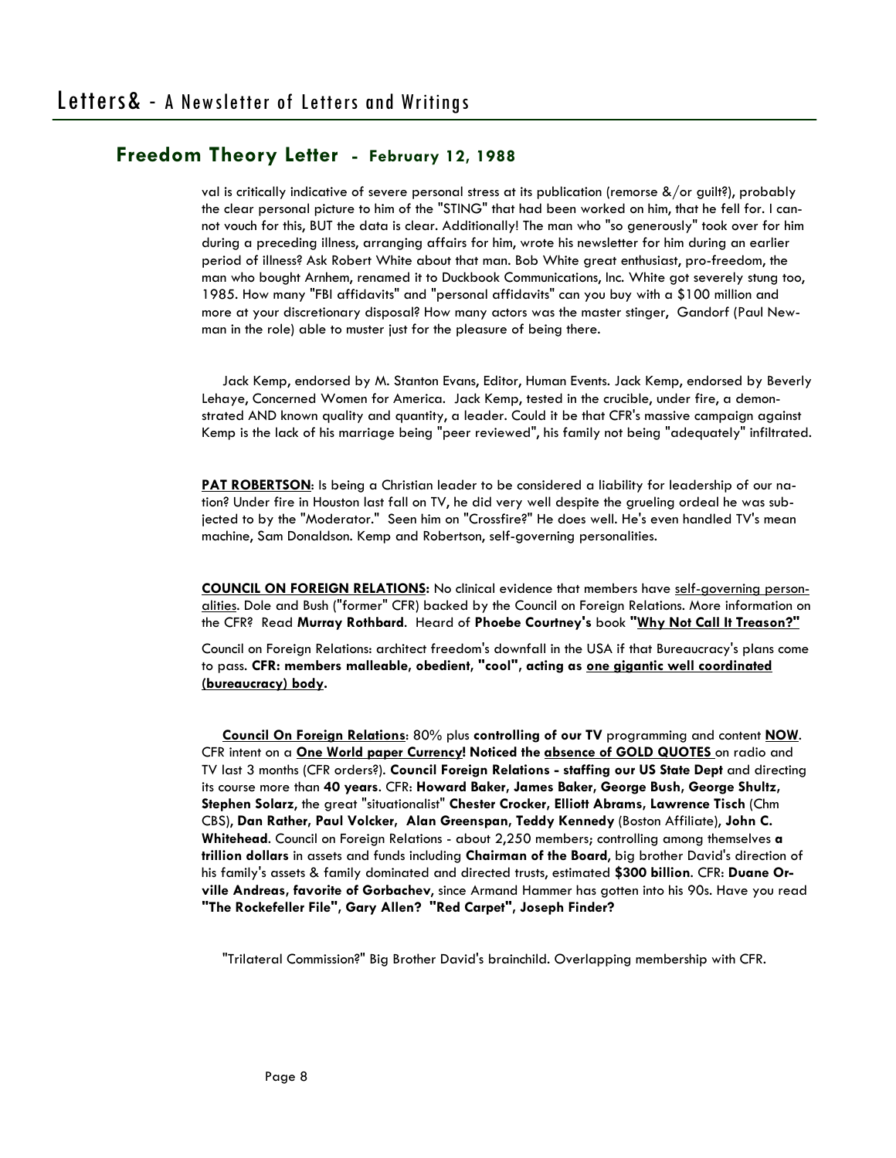val is critically indicative of severe personal stress at its publication (remorse &/or guilt?), probably the clear personal picture to him of the "STING" that had been worked on him, that he fell for. I cannot vouch for this, BUT the data is clear. Additionally! The man who "so generously" took over for him during a preceding illness, arranging affairs for him, wrote his newsletter for him during an earlier period of illness? Ask Robert White about that man. Bob White great enthusiast, pro-freedom, the man who bought Arnhem, renamed it to Duckbook Communications, Inc. White got severely stung too, 1985. How many "FBI affidavits" and "personal affidavits" can you buy with a \$100 million and more at your discretionary disposal? How many actors was the master stinger, Gandorf (Paul Newman in the role) able to muster just for the pleasure of being there.

 Jack Kemp, endorsed by M. Stanton Evans, Editor, Human Events. Jack Kemp, endorsed by Beverly Lehaye, Concerned Women for America. Jack Kemp, tested in the crucible, under fire, a demonstrated AND known quality and quantity, a leader. Could it be that CFR's massive campaign against Kemp is the lack of his marriage being "peer reviewed", his family not being "adequately" infiltrated.

**PAT ROBERTSON**: Is being a Christian leader to be considered a liability for leadership of our nation? Under fire in Houston last fall on TV, he did very well despite the grueling ordeal he was subjected to by the "Moderator." Seen him on "Crossfire?" He does well. He's even handled TV's mean machine, Sam Donaldson. Kemp and Robertson, self-governing personalities.

**COUNCIL ON FOREIGN RELATIONS:** No clinical evidence that members have self-governing personalities. Dole and Bush ("former" CFR) backed by the Council on Foreign Relations. More information on the CFR? Read **Murray Rothbard**. Heard of **Phoebe Courtney's** book **"Why Not Call It Treason?"** 

Council on Foreign Relations: architect freedom's downfall in the USA if that Bureaucracy's plans come to pass. **CFR: members malleable, obedient, "cool", acting as one gigantic well coordinated (bureaucracy) body.** 

 **Council On Foreign Relations**: 80% plus **controlling of our TV** programming and content **NOW**. CFR intent on a **One World paper Currency! Noticed the absence of GOLD QUOTES** on radio and TV last 3 months (CFR orders?). **Council Foreign Relations - staffing our US State Dept** and directing its course more than **40 years**. CFR: **Howard Baker, James Baker, George Bush, George Shultz, Stephen Solarz**, the great "situationalist" **Chester Crocker, Elliott Abrams, Lawrence Tisch** (Chm CBS), **Dan Rather, Paul Volcker, Alan Greenspan, Teddy Kennedy** (Boston Affiliate), **John C. Whitehead**. Council on Foreign Relations - about 2,250 members; controlling among themselves **a trillion dollars** in assets and funds including **Chairman of the Board**, big brother David's direction of his family's assets & family dominated and directed trusts, estimated **\$300 billion**. CFR: **Duane Orville Andreas, favorite of Gorbachev**, since Armand Hammer has gotten into his 90s. Have you read **"The Rockefeller File", Gary Allen? "Red Carpet", Joseph Finder?** 

"Trilateral Commission?" Big Brother David's brainchild. Overlapping membership with CFR.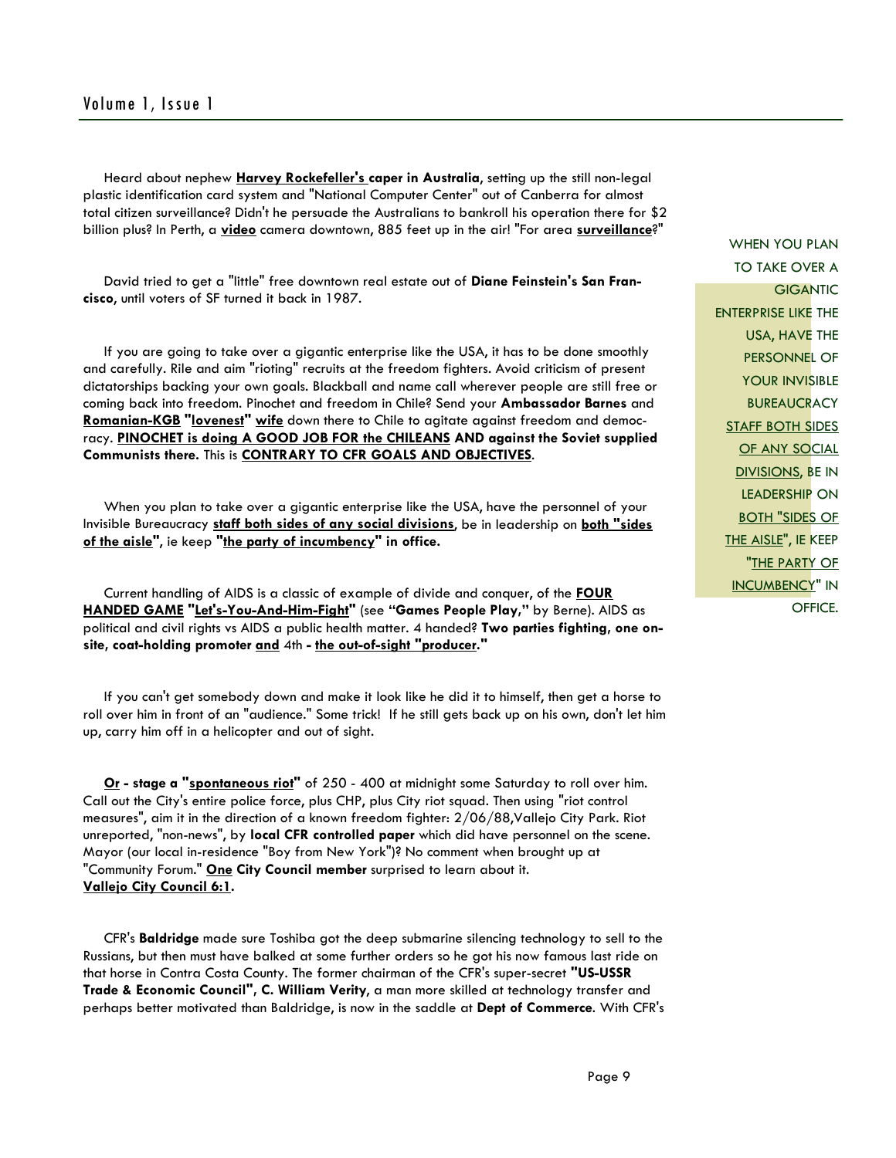### Volume 1, Issue 1

 Heard about nephew **Harvey Rockefeller's caper in Australia**, setting up the still non-legal plastic identification card system and "National Computer Center" out of Canberra for almost total citizen surveillance? Didn't he persuade the Australians to bankroll his operation there for \$2 billion plus? In Perth, a **video** camera downtown, 885 feet up in the air! "For area **surveillance**?"

 David tried to get a "little" free downtown real estate out of **Diane Feinstein's San Francisco**, until voters of SF turned it back in 1987.

 If you are going to take over a gigantic enterprise like the USA, it has to be done smoothly and carefully. Rile and aim "rioting" recruits at the freedom fighters. Avoid criticism of present dictatorships backing your own goals. Blackball and name call wherever people are still free or coming back into freedom. Pinochet and freedom in Chile? Send your **Ambassador Barnes** and **Romanian-KGB "lovenest" wife** down there to Chile to agitate against freedom and democracy. **PINOCHET is doing A GOOD JOB FOR the CHILEANS AND against the Soviet supplied Communists there.** This is **CONTRARY TO CFR GOALS AND OBJECTIVES**.

 When you plan to take over a gigantic enterprise like the USA, have the personnel of your Invisible Bureaucracy **staff both sides of any social divisions**, be in leadership on **both "sides of the aisle"**, ie keep **"the party of incumbency" in office.** 

 Current handling of AIDS is a classic of example of divide and conquer, of the **FOUR HANDED GAME "Let's-You-And-Him-Fight"** (see **"Games People Play,"** by Berne). AIDS as political and civil rights vs AIDS a public health matter. 4 handed? **Two parties fighting, one onsite, coat-holding promoter and** 4th **- the out-of-sight "producer."** 

 If you can't get somebody down and make it look like he did it to himself, then get a horse to roll over him in front of an "audience." Some trick! If he still gets back up on his own, don't let him up, carry him off in a helicopter and out of sight.

 **Or - stage a "spontaneous riot"** of 250 - 400 at midnight some Saturday to roll over him. Call out the City's entire police force, plus CHP, plus City riot squad. Then using "riot control measures", aim it in the direction of a known freedom fighter: 2/06/88,Vallejo City Park. Riot unreported, "non-news", by **local CFR controlled paper** which did have personnel on the scene. Mayor (our local in-residence "Boy from New York")? No comment when brought up at "Community Forum." **One City Council member** surprised to learn about it. **Vallejo City Council 6:1.** 

 CFR's **Baldridge** made sure Toshiba got the deep submarine silencing technology to sell to the Russians, but then must have balked at some further orders so he got his now famous last ride on that horse in Contra Costa County. The former chairman of the CFR's super-secret **"US-USSR Trade & Economic Council", C. William Verity**, a man more skilled at technology transfer and perhaps better motivated than Baldridge, is now in the saddle at **Dept of Commerce**. With CFR's

WHEN YOU PLAN TO TAKE OVER A **GIGANTIC** ENTERPRISE LIKE THE USA, HAVE THE PERSONNEL OF YOUR INVISIBLE **BUREAUCRACY STAFF BOTH SIDES OF ANY SOCIAL** DIVISIONS, BE IN LEADERSHIP ON BOTH "SIDES OF THE AISLE", IE KEEP "THE PARTY OF INCUMBENCY" IN OFFICE.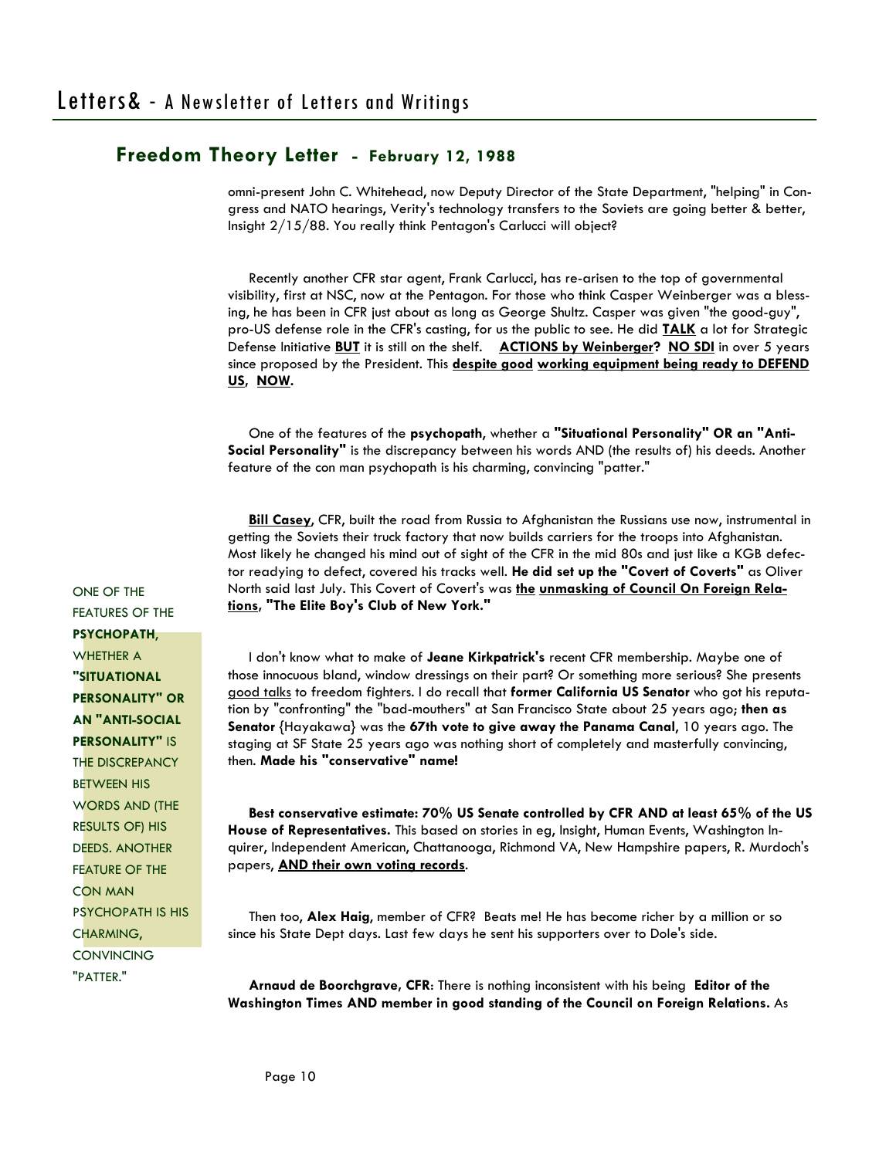omni-present John C. Whitehead, now Deputy Director of the State Department, "helping" in Congress and NATO hearings, Verity's technology transfers to the Soviets are going better & better, Insight 2/15/88. You really think Pentagon's Carlucci will object?

 Recently another CFR star agent, Frank Carlucci, has re-arisen to the top of governmental visibility, first at NSC, now at the Pentagon. For those who think Casper Weinberger was a blessing, he has been in CFR just about as long as George Shultz. Casper was given "the good-guy", pro-US defense role in the CFR's casting, for us the public to see. He did **TALK** a lot for Strategic Defense Initiative **BUT** it is still on the shelf. **ACTIONS by Weinberger? NO SDI** in over 5 years since proposed by the President. This **despite good working equipment being ready to DEFEND US, NOW.** 

 One of the features of the **psychopath**, whether a **"Situational Personality" OR an "Anti-Social Personality"** is the discrepancy between his words AND (the results of) his deeds. Another feature of the con man psychopath is his charming, convincing "patter."

 **Bill Casey**, CFR, built the road from Russia to Afghanistan the Russians use now, instrumental in getting the Soviets their truck factory that now builds carriers for the troops into Afghanistan. Most likely he changed his mind out of sight of the CFR in the mid 80s and just like a KGB defector readying to defect, covered his tracks well. **He did set up the "Covert of Coverts"** as Oliver North said last July. This Covert of Covert's was **the unmasking of Council On Foreign Relations, "The Elite Boy's Club of New York."** 

 I don't know what to make of **Jeane Kirkpatrick's** recent CFR membership. Maybe one of those innocuous bland, window dressings on their part? Or something more serious? She presents good talks to freedom fighters. I do recall that **former California US Senator** who got his reputation by "confronting" the "bad-mouthers" at San Francisco State about 25 years ago; **then as Senator** {Hayakawa} was the **67th vote to give away the Panama Canal**, 10 years ago. The staging at SF State 25 years ago was nothing short of completely and masterfully convincing, then. **Made his "conservative" name!** 

 **Best conservative estimate: 70% US Senate controlled by CFR AND at least 65% of the US House of Representatives.** This based on stories in eg, Insight, Human Events, Washington Inquirer, Independent American, Chattanooga, Richmond VA, New Hampshire papers, R. Murdoch's papers, **AND their own voting records**.

 Then too, **Alex Haig**, member of CFR? Beats me! He has become richer by a million or so since his State Dept days. Last few days he sent his supporters over to Dole's side.

 **Arnaud de Boorchgrave, CFR**: There is nothing inconsistent with his being **Editor of the Washington Times AND member in good standing of the Council on Foreign Relations.** As

ONE OF THE FEATURES OF THE **PSYCHOPATH**, WHETHER A **"SITUATIONAL PERSONALITY" OR AN "ANTI-SOCIAL PERSONALITY"** IS **THE DISCREPANCY** BETWEEN HIS WORDS AND (THE RESULTS OF) HIS DEEDS. ANOTHER FEATURE OF THE CON MAN PSYCHOPATH IS HIS CHARMING, CONVINCING "PATTER."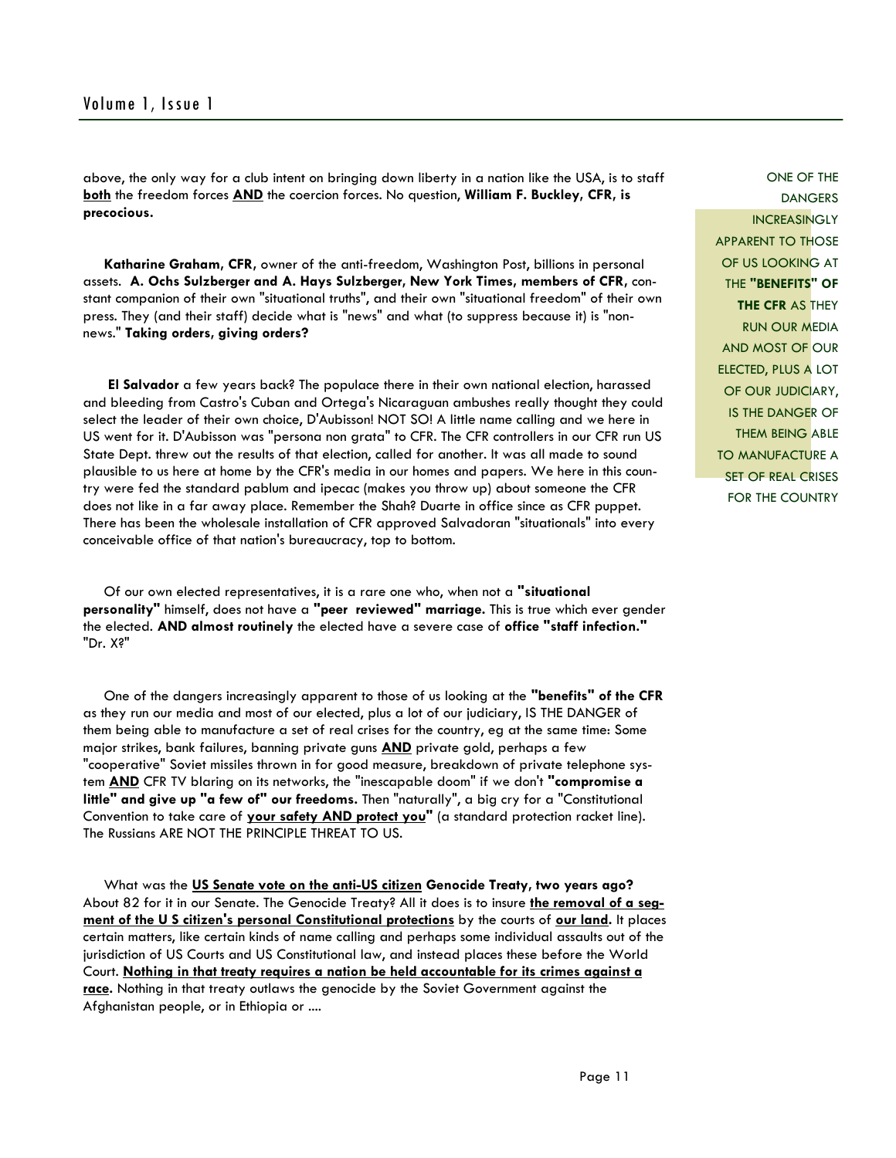above, the only way for a club intent on bringing down liberty in a nation like the USA, is to staff **both** the freedom forces **AND** the coercion forces. No question, **William F. Buckley, CFR, is precocious.** 

 **Katharine Graham, CFR,** owner of the anti-freedom, Washington Post, billions in personal assets. **A. Ochs Sulzberger and A. Hays Sulzberger, New York Times, members of CFR,** constant companion of their own "situational truths", and their own "situational freedom" of their own press. They (and their staff) decide what is "news" and what (to suppress because it) is "nonnews." **Taking orders, giving orders?** 

 **El Salvador** a few years back? The populace there in their own national election, harassed and bleeding from Castro's Cuban and Ortega's Nicaraguan ambushes really thought they could select the leader of their own choice, D'Aubisson! NOT SO! A little name calling and we here in US went for it. D'Aubisson was "persona non grata" to CFR. The CFR controllers in our CFR run US State Dept. threw out the results of that election, called for another. It was all made to sound plausible to us here at home by the CFR's media in our homes and papers. We here in this country were fed the standard pablum and ipecac (makes you throw up) about someone the CFR does not like in a far away place. Remember the Shah? Duarte in office since as CFR puppet. There has been the wholesale installation of CFR approved Salvadoran "situationals" into every conceivable office of that nation's bureaucracy, top to bottom.

 Of our own elected representatives, it is a rare one who, when not a **"situational personality"** himself, does not have a **"peer reviewed" marriage.** This is true which ever gender the elected. **AND almost routinely** the elected have a severe case of **office "staff infection."** "Dr. X?"

 One of the dangers increasingly apparent to those of us looking at the **"benefits" of the CFR** as they run our media and most of our elected, plus a lot of our judiciary, IS THE DANGER of them being able to manufacture a set of real crises for the country, eg at the same time: Some major strikes, bank failures, banning private guns **AND** private gold, perhaps a few "cooperative" Soviet missiles thrown in for good measure, breakdown of private telephone system **AND** CFR TV blaring on its networks, the "inescapable doom" if we don't **"compromise a little" and give up "a few of" our freedoms.** Then "naturally", a big cry for a "Constitutional Convention to take care of **your safety AND protect you"** (a standard protection racket line). The Russians ARE NOT THE PRINCIPLE THREAT TO US.

 What was the **US Senate vote on the anti-US citizen Genocide Treaty, two years ago?** About 82 for it in our Senate. The Genocide Treaty? All it does is to insure **the removal of a segment of the U S citizen's personal Constitutional protections** by the courts of **our land.** It places certain matters, like certain kinds of name calling and perhaps some individual assaults out of the jurisdiction of US Courts and US Constitutional law, and instead places these before the World Court. **Nothing in that treaty requires a nation be held accountable for its crimes against a race.** Nothing in that treaty outlaws the genocide by the Soviet Government against the Afghanistan people, or in Ethiopia or ....

ONE OF THE DANGERS **INCREASINGLY** APPARENT TO THOSE OF US LOOKING AT THE **"BENEFITS" OF THE CFR** AS THEY RUN OUR MEDIA AND MOST OF OUR ELECTED, PLUS A LOT OF OUR JUDICIARY, IS THE DANGER OF THEM BEING ABLE TO MANUFACTURE A **SET OF REAL CRISES** FOR THE COUNTRY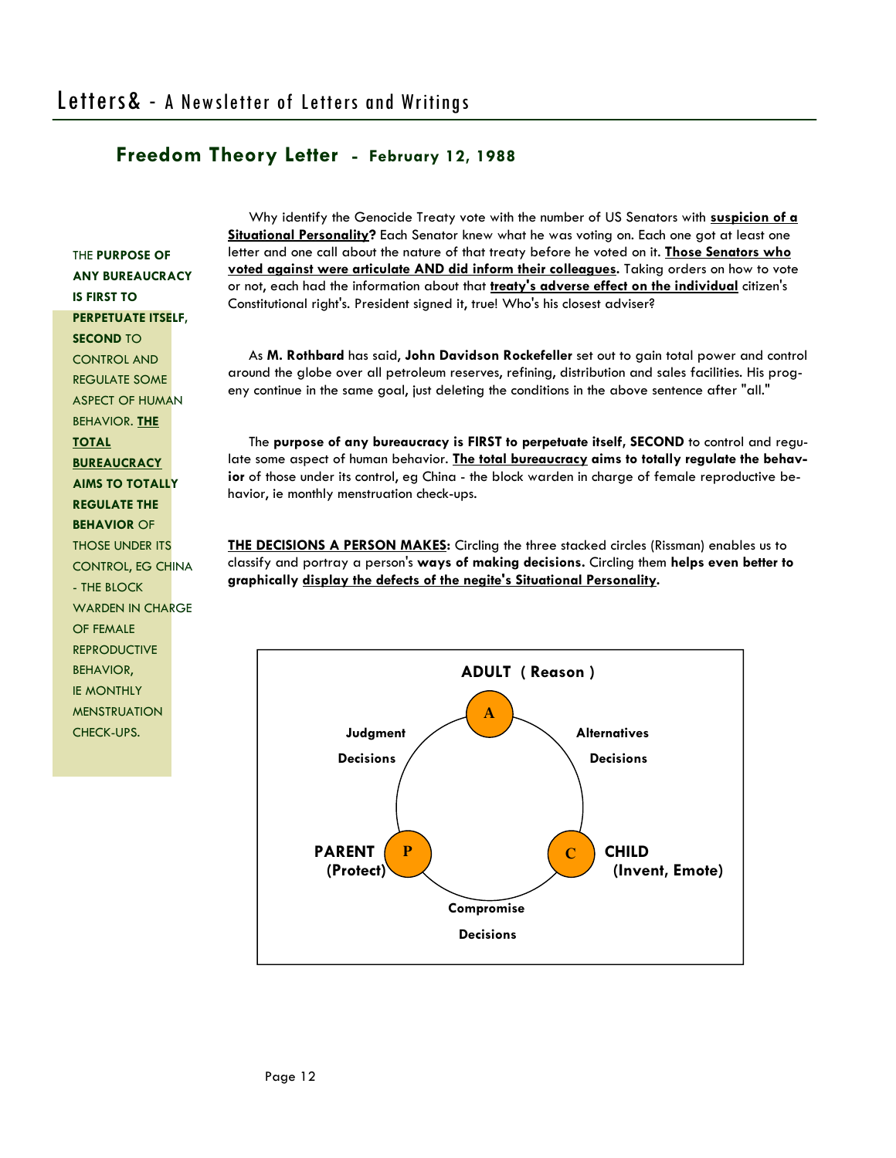THE **PURPOSE OF ANY BUREAUCRACY IS FIRST TO PERPETUATE ITSELF, SECOND** TO CONTROL AND REGULATE SOME ASPECT OF HUMAN BEHAVIOR. **THE TOTAL BUREAUCRACY AIMS TO TOTALLY REGULATE THE BEHAVIOR** OF THOSE UNDER ITS CONTROL, EG CHINA - THE BLOCK WARDEN IN CHARGE OF FEMALE **REPRODUCTIVE** BEHAVIOR, IE MONTHLY MENSTRUATION CHECK-UPS.

 Why identify the Genocide Treaty vote with the number of US Senators with **suspicion of a Situational Personality?** Each Senator knew what he was voting on. Each one got at least one letter and one call about the nature of that treaty before he voted on it. **Those Senators who voted against were articulate AND did inform their colleagues.** Taking orders on how to vote or not, each had the information about that **treaty's adverse effect on the individual** citizen's Constitutional right's. President signed it, true! Who's his closest adviser?

 As **M. Rothbard** has said, **John Davidson Rockefeller** set out to gain total power and control around the globe over all petroleum reserves, refining, distribution and sales facilities. His progeny continue in the same goal, just deleting the conditions in the above sentence after "all."

 The **purpose of any bureaucracy is FIRST to perpetuate itself, SECOND** to control and regulate some aspect of human behavior. **The total bureaucracy aims to totally regulate the behavior** of those under its control, eg China - the block warden in charge of female reproductive behavior, ie monthly menstruation check-ups.

**THE DECISIONS A PERSON MAKES:** Circling the three stacked circles (Rissman) enables us to classify and portray a person's **ways of making decisions.** Circling them **helps even better to graphically display the defects of the negite's Situational Personality.** 

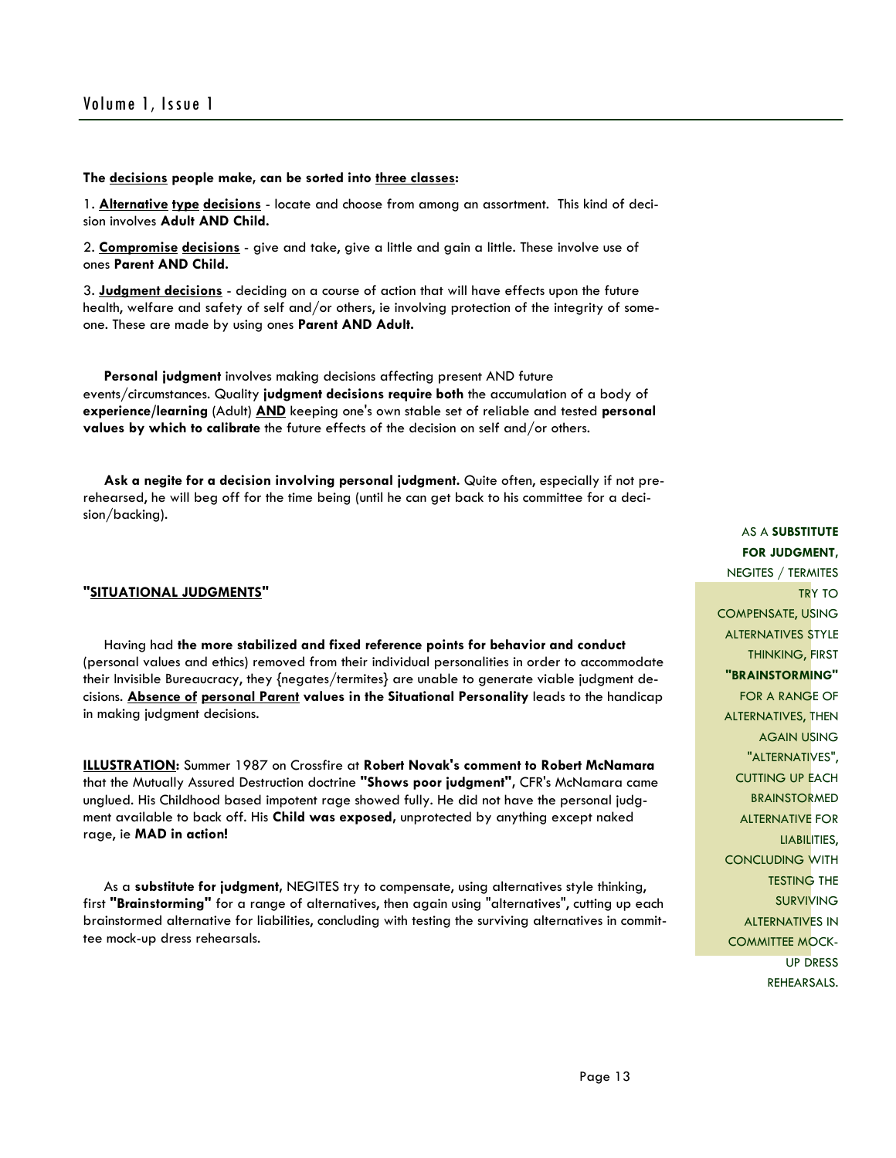#### **The decisions people make, can be sorted into three classes:**

1. **Alternative type decisions** - locate and choose from among an assortment. This kind of decision involves **Adult AND Child.** 

2. **Compromise decisions** - give and take, give a little and gain a little. These involve use of ones **Parent AND Child.** 

3. **Judgment decisions** - deciding on a course of action that will have effects upon the future health, welfare and safety of self and/or others, ie involving protection of the integrity of someone. These are made by using ones **Parent AND Adult.** 

 **Personal judgment** involves making decisions affecting present AND future events/circumstances. Quality **judgment decisions require both** the accumulation of a body of **experience/learning** (Adult) **AND** keeping one's own stable set of reliable and tested **personal values by which to calibrate** the future effects of the decision on self and/or others.

 **Ask a negite for a decision involving personal judgment.** Quite often, especially if not prerehearsed, he will beg off for the time being (until he can get back to his committee for a decision/backing).

#### **"SITUATIONAL JUDGMENTS"**

 Having had **the more stabilized and fixed reference points for behavior and conduct** (personal values and ethics) removed from their individual personalities in order to accommodate their Invisible Bureaucracy, they {negates/termites} are unable to generate viable judgment decisions. **Absence of personal Parent values in the Situational Personality** leads to the handicap in making judgment decisions.

**ILLUSTRATION:** Summer 1987 on Crossfire at **Robert Novak's comment to Robert McNamara** that the Mutually Assured Destruction doctrine **"Shows poor judgment",** CFR's McNamara came unglued. His Childhood based impotent rage showed fully. He did not have the personal judgment available to back off. His **Child was exposed,** unprotected by anything except naked rage, ie **MAD in action!** 

 As a **substitute for judgment,** NEGITES try to compensate, using alternatives style thinking, first **"Brainstorming"** for a range of alternatives, then again using "alternatives", cutting up each brainstormed alternative for liabilities, concluding with testing the surviving alternatives in committee mock-up dress rehearsals.

AS A **SUBSTITUTE FOR JUDGMENT,** NEGITES / TERMITES TRY TO COMPENSATE, USING ALTERNATIVES STYLE THINKING, FIRST **"BRAINSTORMING"** FOR A RANGE OF ALTERNATIVES, THEN AGAIN USING "ALTERNATIVES", CUTTING UP EACH BRAINSTORMED ALTERNATIVE FOR LIABILITIES, CONCLUDING WITH TESTING THE SURVIVING ALTERNATIVES IN COMMITTEE MOCK-UP DRESS REHEARSALS.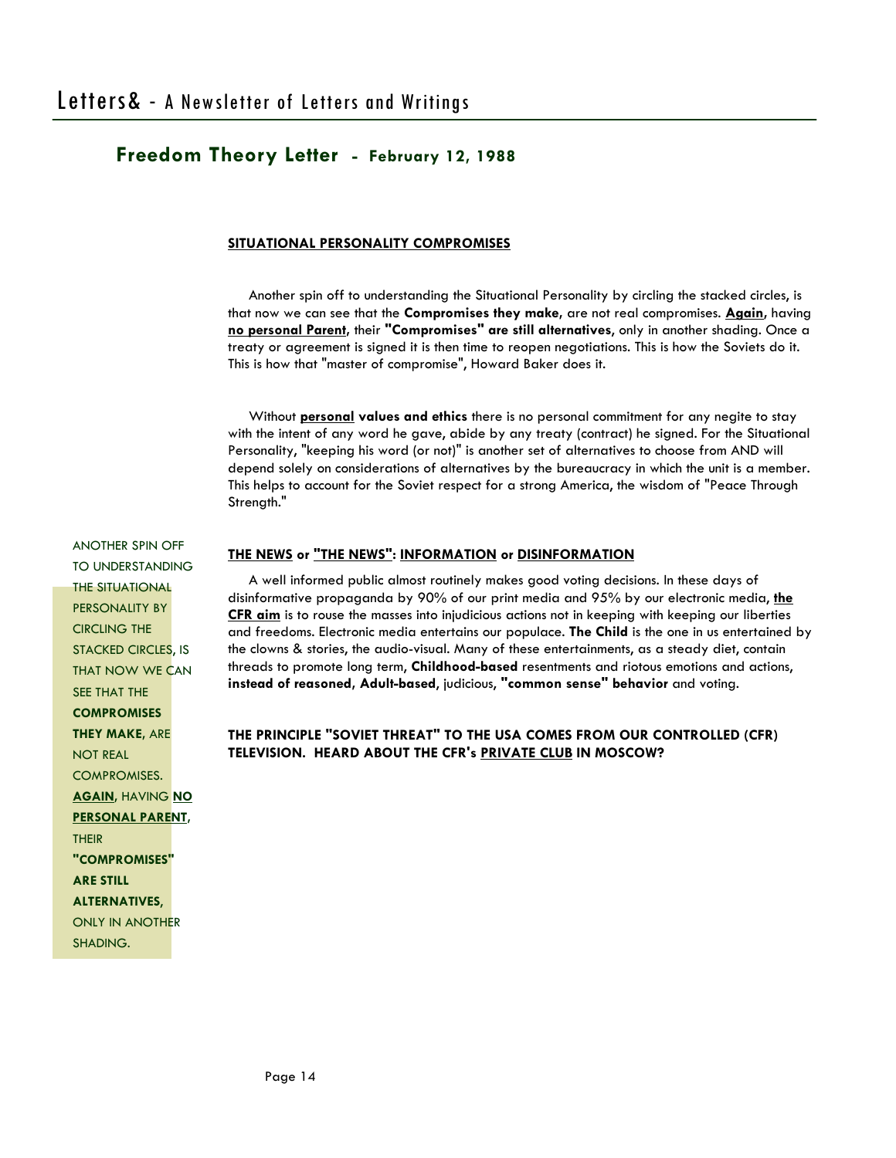#### **SITUATIONAL PERSONALITY COMPROMISES**

 Another spin off to understanding the Situational Personality by circling the stacked circles, is that now we can see that the **Compromises they make,** are not real compromises. **Again,** having **no personal Parent,** their **"Compromises" are still alternatives**, only in another shading. Once a treaty or agreement is signed it is then time to reopen negotiations. This is how the Soviets do it. This is how that "master of compromise", Howard Baker does it.

 Without **personal values and ethics** there is no personal commitment for any negite to stay with the intent of any word he gave, abide by any treaty (contract) he signed. For the Situational Personality, "keeping his word (or not)" is another set of alternatives to choose from AND will depend solely on considerations of alternatives by the bureaucracy in which the unit is a member. This helps to account for the Soviet respect for a strong America, the wisdom of "Peace Through Strength."

#### **THE NEWS or "THE NEWS": INFORMATION or DISINFORMATION**

 A well informed public almost routinely makes good voting decisions. In these days of disinformative propaganda by 90% of our print media and 95% by our electronic media, **the CFR aim** is to rouse the masses into injudicious actions not in keeping with keeping our liberties and freedoms. Electronic media entertains our populace. **The Child** is the one in us entertained by the clowns & stories, the audio-visual. Many of these entertainments, as a steady diet, contain threads to promote long term, **Childhood-based** resentments and riotous emotions and actions, **instead of reasoned, Adult-based**, judicious, **"common sense" behavior** and voting.

#### **THE PRINCIPLE "SOVIET THREAT" TO THE USA COMES FROM OUR CONTROLLED (CFR) TELEVISION. HEARD ABOUT THE CFR's PRIVATE CLUB IN MOSCOW?**

TO UNDERSTANDING THE SITUATIONAL PERSONALITY BY CIRCLING THE STACKED CIRCLES, IS THAT NOW WE CAN SEE THAT THE **COMPROMISES THEY MAKE,** ARE NOT REAL COMPROMISES. **AGAIN,** HAVING **NO PERSONAL PARENT,** THEIR **"COMPROMISES" ARE STILL ALTERNATIVES**, ONLY IN ANOTHER SHADING.

ANOTHER SPIN OFF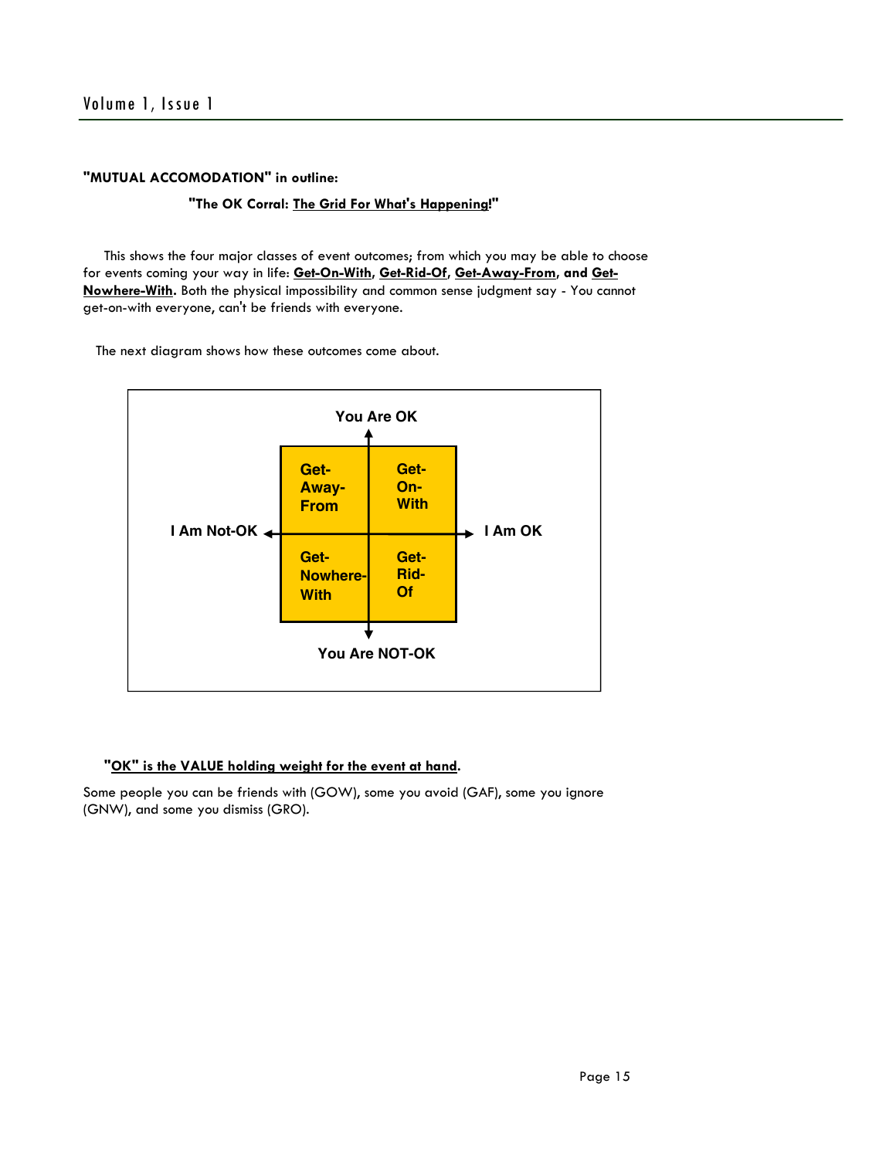#### **"MUTUAL ACCOMODATION" in outline:**

#### **"The OK Corral: The Grid For What's Happening!"**

 This shows the four major classes of event outcomes; from which you may be able to choose for events coming your way in life: **Get-On-With, Get-Rid-Of, Get-Away-From, and Get-Nowhere-With.** Both the physical impossibility and common sense judgment say - You cannot get-on-with everyone, can't be friends with everyone.

The next diagram shows how these outcomes come about.



#### **"OK" is the VALUE holding weight for the event at hand.**

Some people you can be friends with (GOW), some you avoid (GAF), some you ignore (GNW), and some you dismiss (GRO).